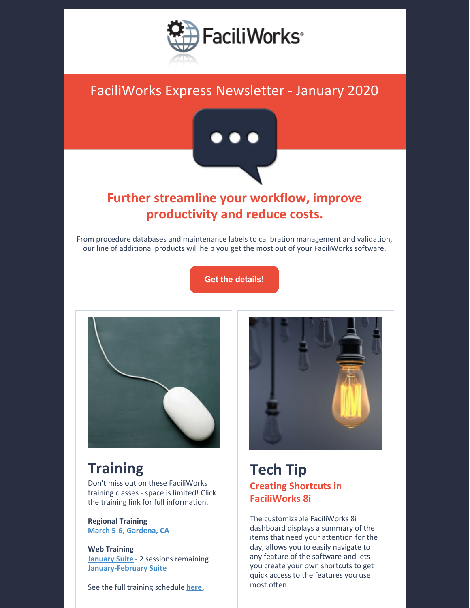

# FaciliWorks Express Newsletter - January 2020



# **Further streamline your workflow, improve productivity and reduce costs.**

From procedure databases and maintenance labels to calibration management and validation, our line of additional products will help you get the most out of your FaciliWorks software.

**Get the [details!](https://faciliworks.com/product-options/)**



# **Training**

Don't miss out on these FaciliWorks training classes - space is limited! Click the training link for full information.

**Regional Training March 5-6, [Gardena,](https://faciliworks.com/wp-content/uploads/FaciliWorks_8i_Training_Gardena_March_2020.pdf) CA**

**Web Training [January](https://faciliworks.com/wp-content/uploads/FaciliWorks_8i_Web_Training_Suite_January_2020.pdf) Suite** - 2 sessions remaining **[January-February](https://faciliworks.com/wp-content/uploads/FaciliWorks_8i_Web_Training_Suite_Jan-Feb_2020.pdf) Suite**

See the full training schedule **[here](https://faciliworks.com/training-schedule/)**.



### **Tech Tip Creating Shortcuts in FaciliWorks 8i**

The customizable FaciliWorks 8i dashboard displays a summary of the items that need your attention for the day, allows you to easily navigate to any feature of the software and lets you create your own shortcuts to get quick access to the features you use most often.